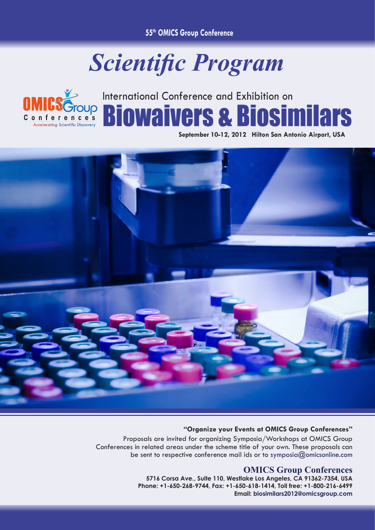**55th OMICS Group Conference**

## *Scientific Program*



## International Conference and Exhibition on Biowaivers & Biosimilars

**September 10-12, 2012 Hilton San Antonio Airport, USA**



## **"Organize your Events at OMICS Group Conferences"**

Proposals are invited for organizing Symposia/Workshops at OMICS Group Conferences in related areas under the scheme title of your own. These proposals can be sent to respective conference mail ids or to symposia@omicsonline.com

## **OMICS Group Conferences**

**5716 Corsa Ave., Suite 110, Westlake Los Angeles, CA 91362-7354, USA Phone: +1-650-268-9744, Fax: +1-650-618-1414, Toll free: +1-800-216-6499 Email: biosimilars2012@omicsgroup.com**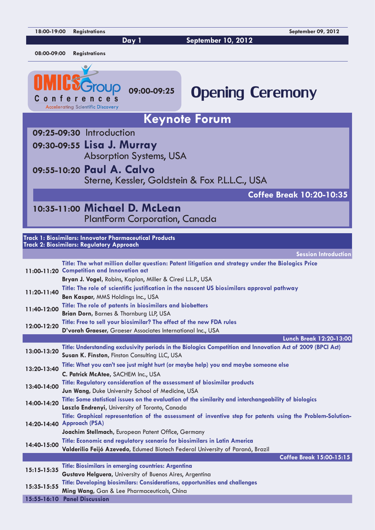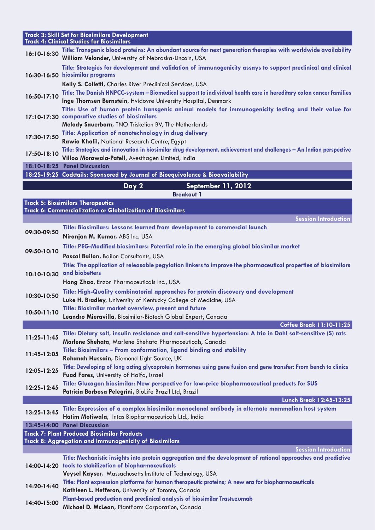|                                                        | <b>Track 3: Skill Set for Biosimilars Development</b>                                                                                                                           |  |
|--------------------------------------------------------|---------------------------------------------------------------------------------------------------------------------------------------------------------------------------------|--|
| <b>Track 4: Clinical Studies for Biosimilars</b>       |                                                                                                                                                                                 |  |
| 16:10-16:30                                            | Title: Transgenic blood proteins: An abundant source for next generation therapies with worldwide availability<br>William Velander, University of Nebraska-Lincoln, USA         |  |
|                                                        |                                                                                                                                                                                 |  |
|                                                        | Title: Strategies for development and validation of immunogenicity assays to support preclinical and clinical<br>16:30-16:50 biosimilar programs                                |  |
|                                                        |                                                                                                                                                                                 |  |
|                                                        | Kelly S. Colletti, Charles River Preclinical Services, USA<br>Title: The Danish HNPCC-system - Biomedical support to individual health care in hereditary colon cancer families |  |
| 16:50-17:10                                            | Inge Thomsen Bernstein, Hvidovre University Hospital, Denmark                                                                                                                   |  |
|                                                        | Title: Use of human protein transgenic animal models for immunogenicity testing and their value for                                                                             |  |
|                                                        | 17:10-17:30 comparative studies of biosimilars                                                                                                                                  |  |
|                                                        | Melody Sauerborn, TNO Triskelion BV, The Netherlands                                                                                                                            |  |
|                                                        | Title: Application of nanotechnology in drug delivery                                                                                                                           |  |
| 17:30-17:50                                            | Rawia Khalil, National Research Centre, Egypt                                                                                                                                   |  |
|                                                        | Title: Strategies and innovation in biosimilar drug development, achievement and challenges - An Indian perspective                                                             |  |
| 17:50-18:10                                            | Villoo Morawala-Patell, Avesthagen Limited, India                                                                                                                               |  |
| 18:10-18:25                                            | <b>Panel Discussion</b>                                                                                                                                                         |  |
|                                                        | 18:25-19:25 Cocktails: Sponsored by Journal of Bioequivalence & Bioavailability                                                                                                 |  |
|                                                        | Day 2<br>September 11, 2012                                                                                                                                                     |  |
|                                                        | <b>Breakout 1</b>                                                                                                                                                               |  |
|                                                        | <b>Track 5: Biosimilars Therapeutics</b>                                                                                                                                        |  |
|                                                        | Track 6: Commercialization or Globalization of Biosimilars                                                                                                                      |  |
|                                                        | <b>Session Introduction</b>                                                                                                                                                     |  |
|                                                        | Title: Biosimilars: Lessons learned from development to commercial launch                                                                                                       |  |
| 09:30-09:50                                            | Niranjan M. Kumar, ABS Inc. USA                                                                                                                                                 |  |
|                                                        | Title: PEG-Modified biosimilars: Potential role in the emerging global biosimilar market                                                                                        |  |
| 09:50-10:10                                            |                                                                                                                                                                                 |  |
|                                                        | Pascal Bailon, Bailon Consultants, USA                                                                                                                                          |  |
|                                                        | Title: The application of releasable pegylation linkers to improve the pharmaceutical properties of biosimilars                                                                 |  |
|                                                        | 10:10-10:30 and biobetters                                                                                                                                                      |  |
|                                                        | Hong Zhao, Enzon Pharmaceuticals Inc., USA                                                                                                                                      |  |
| 10:30-10:50                                            | Title: High-Quality combinatorial approaches for protein discovery and development                                                                                              |  |
|                                                        | Luke H. Bradley, University of Kentucky College of Medicine, USA                                                                                                                |  |
| 10:50-11:10                                            | Title: Biosimilar market overview, present and future                                                                                                                           |  |
|                                                        | Leandro Mieravilla, Biosimilar-Biotech Global Expert, Canada                                                                                                                    |  |
|                                                        | <b>Coffee Break 11:10-11:25</b>                                                                                                                                                 |  |
| 11:25-11:45                                            | Title: Dietary salt, insulin resistance and salt-sensitive hypertension: A trio in Dahl salt-sensitive (S) rats<br>Marlene Shehata, Marlene Shehata Pharmaceuticals, Canada     |  |
|                                                        | Title: Biosimilars - From conformation, ligand binding and stability                                                                                                            |  |
| 11:45-12:05                                            | Rohanah Hussain, Diamond Light Source, UK                                                                                                                                       |  |
|                                                        | Title: Developing of long acting glycoprotein hormones using gene fusion and gene transfer: From bench to clinics                                                               |  |
| 12:05-12:25                                            | Fuad Fares, University of Haifa, Israel                                                                                                                                         |  |
|                                                        | Title: Glucagon biosimilar: New perspective for low-price biopharmaceutical products for SUS                                                                                    |  |
| 12:25-12:45                                            | Patricia Barbosa Pelegrini, BioLife Brazil Ltd, Brazil                                                                                                                          |  |
|                                                        | Lunch Break 12:45-13:25                                                                                                                                                         |  |
|                                                        | Title: Expression of a complex biosimilar monoclonal antibody in alternate mammalian host system                                                                                |  |
| 13:25-13:45                                            | Hatim Motiwala, Intas Biopharmaceuticals Ltd., India                                                                                                                            |  |
|                                                        | 13:45-14:00 Panel Discussion                                                                                                                                                    |  |
|                                                        | <b>Track 7: Plant Produced Biosimilar Products</b>                                                                                                                              |  |
| Track 8: Aggregation and Immunogenicity of Biosimilars |                                                                                                                                                                                 |  |
|                                                        | <b>Session Introduction</b>                                                                                                                                                     |  |
|                                                        | Title: Mechanistic insights into protein aggregation and the development of rational approaches and predictive                                                                  |  |
|                                                        | 14:00-14:20 tools to stabilization of biopharmaceuticals                                                                                                                        |  |
|                                                        | Veysel Kayser, Massachusetts Institute of Technology, USA                                                                                                                       |  |
| 14:20-14:40                                            | Title: Plant expression platforms for human therapeutic proteins; A new era for biopharmaceuticals                                                                              |  |
|                                                        | Kathleen L. Hefferon, University of Toronto, Canada                                                                                                                             |  |
| 14:40-15:00                                            | Plant-based production and preclinical analysis of biosimilar Trastuzumab<br>Michael D. McLean, PlantForm Corporation, Canada                                                   |  |
|                                                        |                                                                                                                                                                                 |  |